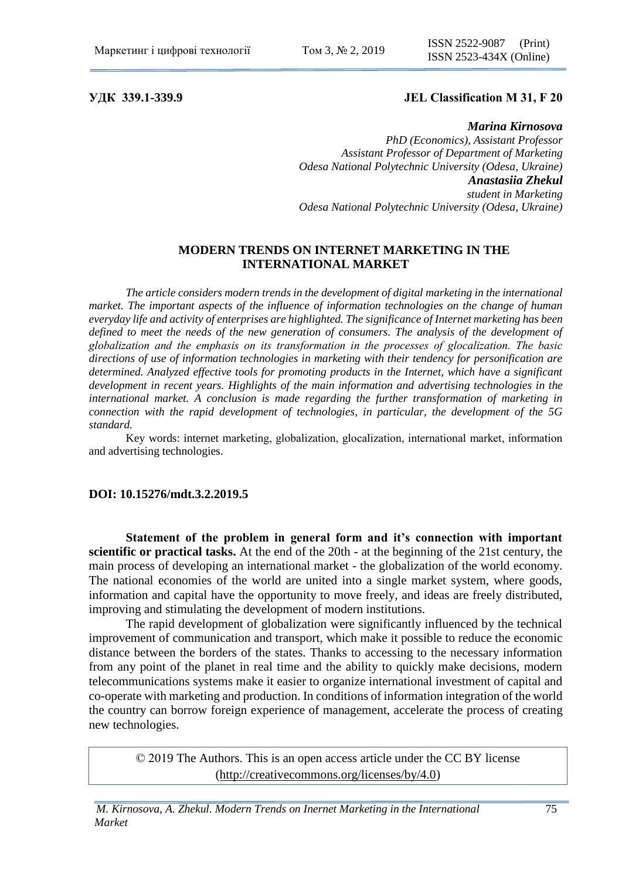# **УДК 339.1-339.9 JEL Classification М 31, F 20**

### *Marina Kirnosova*

*PhD (Economics), Assistant Professor Assistant Professor of Department of Marketing Odesa National Polytechnic University (Odesa, Ukraine) Anastasiia Zhekul student in Marketing Odesa National Polytechnic University (Odesa, Ukraine)*

# **MODERN TRENDS ON INTERNET MARKETING IN THE INTERNATIONAL MARKET**

*The article considers modern trends in the development of digital marketing in the international market. The important aspects of the influence of information technologies on the change of human everyday life and activity of enterprises are highlighted. The significance of Internet marketing has been*  defined to meet the needs of the new generation of consumers. The analysis of the development of *globalization and the emphasis on its transformation in the processes of gloсalization. The basic directions of use of information technologies in marketing with their tendency for personification are determined. Analyzed effective tools for promoting products in the Internet, which have a significant development in recent years. Highlights of the main information and advertising technologies in the international market. A conclusion is made regarding the further transformation of marketing in connection with the rapid development of technologies, in particular, the development of the 5G standard.*

Key words: internet marketing, globalization, gloсalization, international market, information and advertising technologies.

## **DOI: 10.15276/mdt.3.2.2019.5**

**Statement of the problem in general form and it's connection with important scientific or practical tasks.** At the end of the 20th - at the beginning of the 21st century, the main process of developing an international market - the globalization of the world economy. The national economies of the world are united into a single market system, where goods, information and capital have the opportunity to move freely, and ideas are freely distributed, improving and stimulating the development of modern institutions.

The rapid development of globalization were significantly influenced by the technical improvement of communication and transport, which make it possible to reduce the economic distance between the borders of the states. Thanks to accessing to the necessary information from any point of the planet in real time and the ability to quickly make decisions, modern telecommunications systems make it easier to organize international investment of capital and co-operate with marketing and production. In conditions of information integration of the world the country can borrow foreign experience of management, accelerate the process of creating new technologies.

© 2019 The Authors. This is an open access article under the CC BY license [\(http://creativecommons.org/licenses/by/4.0\)](http://creativecommons.org/licenses/by/4.0/)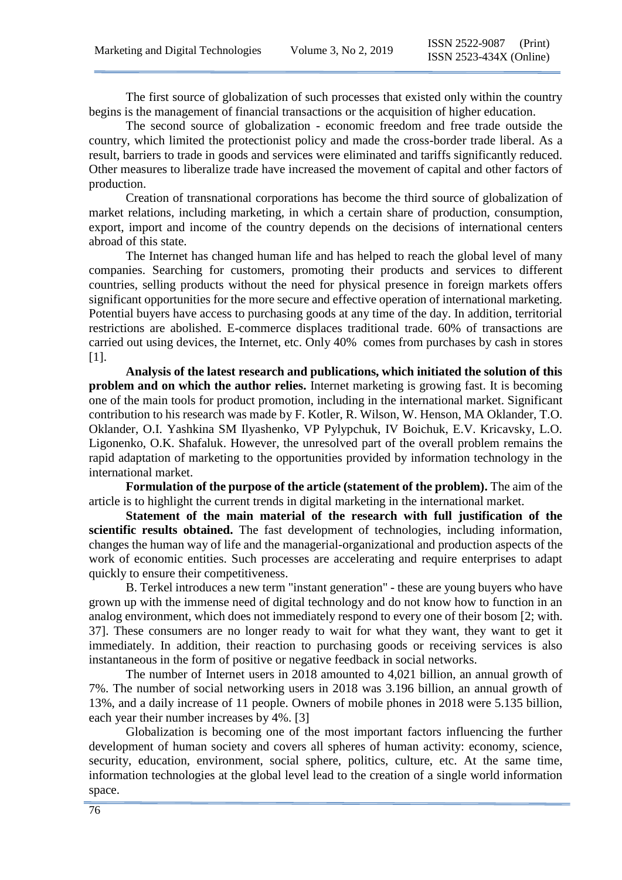The first source of globalization of such processes that existed only within the country begins is the management of financial transactions or the acquisition of higher education.

The second source of globalization - economic freedom and free trade outside the country, which limited the protectionist policy and made the cross-border trade liberal. As a result, barriers to trade in goods and services were eliminated and tariffs significantly reduced. Other measures to liberalize trade have increased the movement of capital and other factors of production.

Creation of transnational corporations has become the third source of globalization of market relations, including marketing, in which a certain share of production, consumption, export, import and income of the country depends on the decisions of international centers abroad of this state.

The Internet has changed human life and has helped to reach the global level of many companies. Searching for customers, promoting their products and services to different countries, selling products without the need for physical presence in foreign markets offers significant opportunities for the more secure and effective operation of international marketing. Potential buyers have access to purchasing goods at any time of the day. In addition, territorial restrictions are abolished. E-commerce displaces traditional trade. 60% of transactions are carried out using devices, the Internet, etc. Only 40% comes from purchases by cash in stores [1].

**Analysis of the latest research and publications, which initiated the solution of this problem and on which the author relies.** Internet marketing is growing fast. It is becoming one of the main tools for product promotion, including in the international market. Significant contribution to his research was made by F. Kotler, R. Wilson, W. Henson, MA Oklander, T.O. Oklander, O.I. Yashkina SM Ilyashenko, VP Pylypchuk, IV Boichuk, E.V. Kricavsky, L.O. Ligonenko, O.K. Shafaluk. However, the unresolved part of the overall problem remains the rapid adaptation of marketing to the opportunities provided by information technology in the international market.

**Formulation of the purpose of the article (statement of the problem).** The aim of the article is to highlight the current trends in digital marketing in the international market.

**Statement of the main material of the research with full justification of the scientific results obtained.** The fast development of technologies, including information, changes the human way of life and the managerial-organizational and production aspects of the work of economic entities. Such processes are accelerating and require enterprises to adapt quickly to ensure their competitiveness.

B. Terkel introduces a new term "instant generation" - these are young buyers who have grown up with the immense need of digital technology and do not know how to function in an analog environment, which does not immediately respond to every one of their bosom [2; with. 37]. These consumers are no longer ready to wait for what they want, they want to get it immediately. In addition, their reaction to purchasing goods or receiving services is also instantaneous in the form of positive or negative feedback in social networks.

The number of Internet users in 2018 amounted to 4,021 billion, an annual growth of 7%. The number of social networking users in 2018 was 3.196 billion, an annual growth of 13%, and a daily increase of 11 people. Owners of mobile phones in 2018 were 5.135 billion, each year their number increases by 4%. [3]

Globalization is becoming one of the most important factors influencing the further development of human society and covers all spheres of human activity: economy, science, security, education, environment, social sphere, politics, culture, etc. At the same time, information technologies at the global level lead to the creation of a single world information space.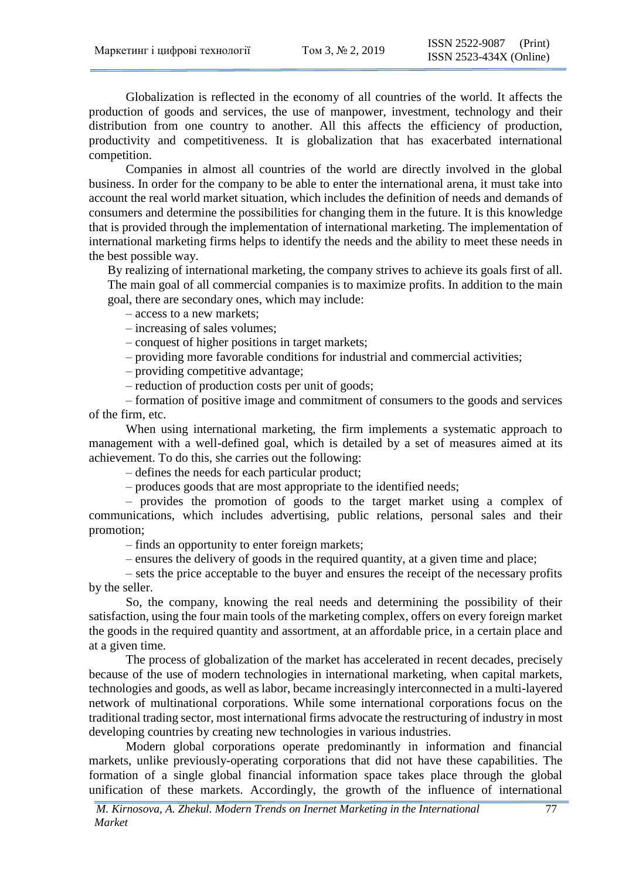Globalization is reflected in the economy of all countries of the world. It affects the production of goods and services, the use of manpower, investment, technology and their distribution from one country to another. All this affects the efficiency of production, productivity and competitiveness. It is globalization that has exacerbated international competition.

Companies in almost all countries of the world are directly involved in the global business. In order for the company to be able to enter the international arena, it must take into account the real world market situation, which includes the definition of needs and demands of consumers and determine the possibilities for changing them in the future. It is this knowledge that is provided through the implementation of international marketing. The implementation of international marketing firms helps to identify the needs and the ability to meet these needs in the best possible way.

By realizing of international marketing, the company strives to achieve its goals first of all. The main goal of all commercial companies is to maximize profits. In addition to the main goal, there are secondary ones, which may include:

– access to а new markets;

– increasing of sales volumes;

– conquest of higher positions in target markets;

– providing more favorable conditions for industrial and commercial activities;

– providing competitive advantage;

– reduction of production costs per unit of goods;

– formation of positive image and commitment of consumers to the goods and services of the firm, etc.

When using international marketing, the firm implements a systematic approach to management with a well-defined goal, which is detailed by a set of measures aimed at its achievement. To do this, she carries out the following:

– defines the needs for each particular product;

– produces goods that are most appropriate to the identified needs;

– provides the promotion of goods to the target market using a complex of communications, which includes advertising, public relations, personal sales and their promotion;

– finds an opportunity to enter foreign markets;

– ensures the delivery of goods in the required quantity, at a given time and place;

– sets the price acceptable to the buyer and ensures the receipt of the necessary profits by the seller.

So, the company, knowing the real needs and determining the possibility of their satisfaction, using the four main tools of the marketing complex, offers on every foreign market the goods in the required quantity and assortment, at an affordable price, in a certain place and at a given time.

The process of globalization of the market has accelerated in recent decades, precisely because of the use of modern technologies in international marketing, when capital markets, technologies and goods, as well as labor, became increasingly interconnected in a multi-layered network of multinational corporations. While some international corporations focus on the traditional trading sector, most international firms advocate the restructuring of industry in most developing countries by creating new technologies in various industries.

Modern global corporations operate predominantly in information and financial markets, unlike previously-operating corporations that did not have these capabilities. The formation of a single global financial information space takes place through the global unification of these markets. Accordingly, the growth of the influence of international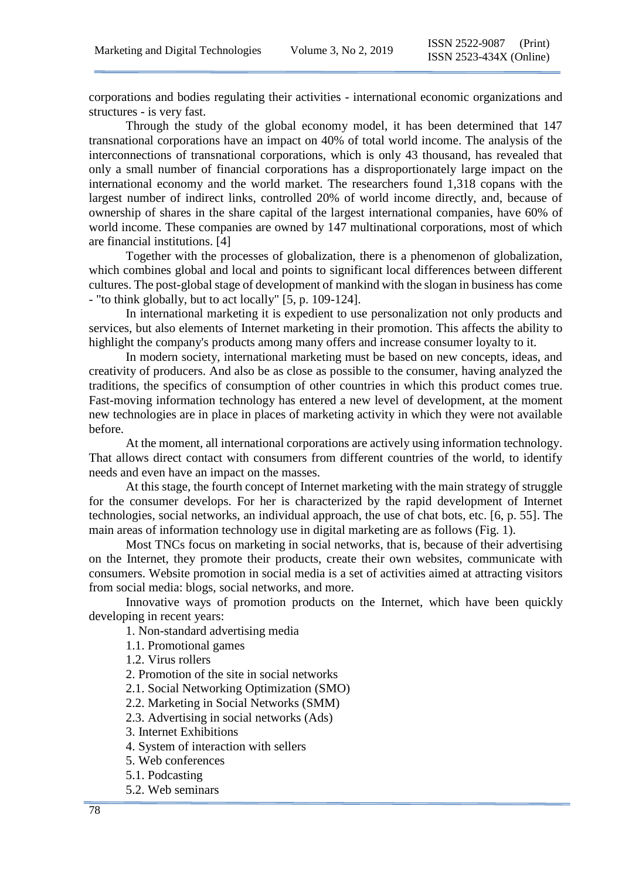corporations and bodies regulating their activities - international economic organizations and structures - is very fast.

Through the study of the global economy model, it has been determined that 147 transnational corporations have an impact on 40% of total world income. The analysis of the interconnections of transnational corporations, which is only 43 thousand, has revealed that only a small number of financial corporations has a disproportionately large impact on the international economy and the world market. The researchers found 1,318 copans with the largest number of indirect links, controlled 20% of world income directly, and, because of ownership of shares in the share capital of the largest international companies, have 60% of world income. These companies are owned by 147 multinational corporations, most of which are financial institutions. [4]

Together with the processes of globalization, there is a phenomenon of globalization, which combines global and local and points to significant local differences between different cultures. The post-global stage of development of mankind with the slogan in business has come - "to think globally, but to act locally" [5, p. 109-124].

In international marketing it is expedient to use personalization not only products and services, but also elements of Internet marketing in their promotion. This affects the ability to highlight the company's products among many offers and increase consumer loyalty to it.

In modern society, international marketing must be based on new concepts, ideas, and creativity of producers. And also be as close as possible to the consumer, having analyzed the traditions, the specifics of consumption of other countries in which this product comes true. Fast-moving information technology has entered a new level of development, at the moment new technologies are in place in places of marketing activity in which they were not available before.

At the moment, all international corporations are actively using information technology. That allows direct contact with consumers from different countries of the world, to identify needs and even have an impact on the masses.

At this stage, the fourth concept of Internet marketing with the main strategy of struggle for the consumer develops. For her is characterized by the rapid development of Internet technologies, social networks, an individual approach, the use of chat bots, etc. [6, p. 55]. The main areas of information technology use in digital marketing are as follows (Fig. 1).

Most TNCs focus on marketing in social networks, that is, because of their advertising on the Internet, they promote their products, create their own websites, communicate with consumers. Website promotion in social media is a set of activities aimed at attracting visitors from social media: blogs, social networks, and more.

Innovative ways of promotion products on the Internet, which have been quickly developing in recent years:

1. Non-standard advertising media

1.1. Promotional games

1.2. Virus rollers

2. Promotion of the site in social networks

2.1. Social Networking Optimization (SMO)

2.2. Marketing in Social Networks (SMM)

2.3. Advertising in social networks (Ads)

3. Internet Exhibitions

4. System of interaction with sellers

5. Web conferences

5.1. Podcasting

5.2. Web seminars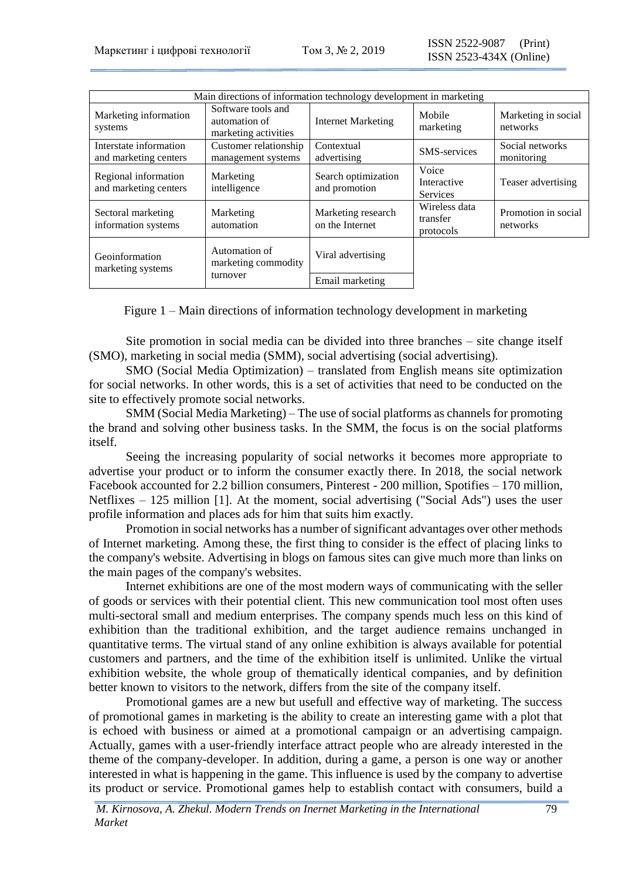| Main directions of information technology development in marketing |                                                             |                                       |                                         |                                 |
|--------------------------------------------------------------------|-------------------------------------------------------------|---------------------------------------|-----------------------------------------|---------------------------------|
| Marketing information<br>systems                                   | Software tools and<br>automation of<br>marketing activities | <b>Internet Marketing</b>             | Mobile<br>marketing                     | Marketing in social<br>networks |
| Interstate information<br>and marketing centers                    | Customer relationship<br>management systems                 | Contextual<br>advertising             | <b>SMS-services</b>                     | Social networks<br>monitoring   |
| Regional information<br>and marketing centers                      | Marketing<br>intelligence                                   | Search optimization<br>and promotion  | Voice<br>Interactive<br><b>Services</b> | Teaser advertising              |
| Sectoral marketing<br>information systems                          | Marketing<br>automation                                     | Marketing research<br>on the Internet | Wireless data<br>transfer<br>protocols  | Promotion in social<br>networks |
| Geoinformation<br>marketing systems                                | Automation of<br>marketing commodity<br>turnover            | Viral advertising                     |                                         |                                 |
|                                                                    |                                                             | Email marketing                       |                                         |                                 |

Figure 1 – Main directions of information technology development in marketing

Site promotion in social media can be divided into three branches – site change itself (SMO), marketing in social media (SMM), social advertising (social advertising).

SMO (Social Media Optimization) – translated from English means site optimization for social networks. In other words, this is a set of activities that need to be conducted on the site to effectively promote social networks.

SMM (Social Media Marketing) – The use of social platforms as channels for promoting the brand and solving other business tasks. In the SMM, the focus is on the social platforms itself.

Seeing the increasing popularity of social networks it becomes more appropriate to advertise your product or to inform the consumer exactly there. In 2018, the social network Facebook accounted for 2.2 billion consumers, Pinterest - 200 million, Spotifies – 170 million, Netflixes – 125 million [1]. At the moment, social advertising ("Social Ads") uses the user profile information and places ads for him that suits him exactly.

Promotion in social networks has a number of significant advantages over other methods of Internet marketing. Among these, the first thing to consider is the effect of placing links to the company's website. Advertising in blogs on famous sites can give much more than links on the main pages of the company's websites.

Internet exhibitions are one of the most modern ways of communicating with the seller of goods or services with their potential client. This new communication tool most often uses multi-sectoral small and medium enterprises. The company spends much less on this kind of exhibition than the traditional exhibition, and the target audience remains unchanged in quantitative terms. The virtual stand of any online exhibition is always available for potential customers and partners, and the time of the exhibition itself is unlimited. Unlike the virtual exhibition website, the whole group of thematically identical companies, and by definition better known to visitors to the network, differs from the site of the company itself.

Promotional games are a new but usefull and effective way of marketing. The success of promotional games in marketing is the ability to create an interesting game with a plot that is echoed with business or aimed at a promotional campaign or an advertising campaign. Actually, games with a user-friendly interface attract people who are already interested in the theme of the company-developer. In addition, during a game, a person is one way or another interested in what is happening in the game. This influence is used by the company to advertise its product or service. Promotional games help to establish contact with consumers, build a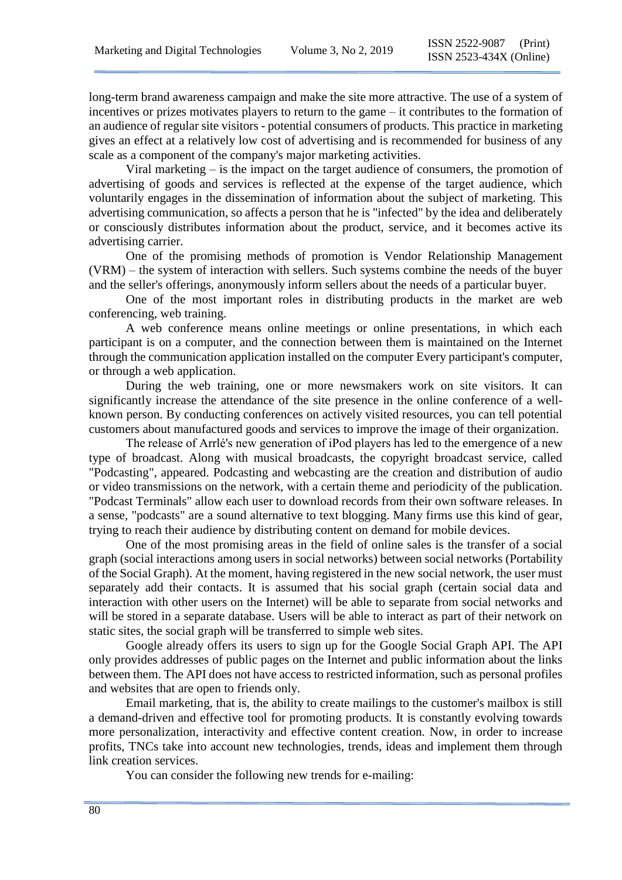long-term brand awareness campaign and make the site more attractive. The use of a system of incentives or prizes motivates players to return to the game – it contributes to the formation of an audience of regular site visitors - potential consumers of products. This practice in marketing gives an effect at a relatively low cost of advertising and is recommended for business of any scale as a component of the company's major marketing activities.

Viral marketing – is the impact on the target audience of consumers, the promotion of advertising of goods and services is reflected at the expense of the target audience, which voluntarily engages in the dissemination of information about the subject of marketing. This advertising communication, so affects a person that he is "infected" by the idea and deliberately or consciously distributes information about the product, service, and it becomes active its advertising carrier.

One of the promising methods of promotion is Vendor Relationship Management (VRM) – the system of interaction with sellers. Such systems combine the needs of the buyer and the seller's offerings, anonymously inform sellers about the needs of a particular buyer.

One of the most important roles in distributing products in the market are web conferencing, web training.

A web conference means online meetings or online presentations, in which each participant is on a computer, and the connection between them is maintained on the Internet through the communication application installed on the computer Every participant's computer, or through a web application.

During the web training, one or more newsmakers work on site visitors. It can significantly increase the attendance of the site presence in the online conference of a wellknown person. By conducting conferences on actively visited resources, you can tell potential customers about manufactured goods and services to improve the image of their organization.

The release of Arrlé's new generation of iPod players has led to the emergence of a new type of broadcast. Along with musical broadcasts, the copyright broadcast service, called "Podcasting", appeared. Podcasting and webcasting are the creation and distribution of audio or video transmissions on the network, with a certain theme and periodicity of the publication. "Podcast Terminals" allow each user to download records from their own software releases. In a sense, "podcasts" are a sound alternative to text blogging. Many firms use this kind of gear, trying to reach their audience by distributing content on demand for mobile devices.

One of the most promising areas in the field of online sales is the transfer of a social graph (social interactions among users in social networks) between social networks (Portability of the Social Graph). At the moment, having registered in the new social network, the user must separately add their contacts. It is assumed that his social graph (certain social data and interaction with other users on the Internet) will be able to separate from social networks and will be stored in a separate database. Users will be able to interact as part of their network on static sites, the social graph will be transferred to simple web sites.

Google already offers its users to sign up for the Google Social Graph API. The API only provides addresses of public pages on the Internet and public information about the links between them. The API does not have access to restricted information, such as personal profiles and websites that are open to friends only.

Email marketing, that is, the ability to create mailings to the customer's mailbox is still a demand-driven and effective tool for promoting products. It is constantly evolving towards more personalization, interactivity and effective content creation. Now, in order to increase profits, TNCs take into account new technologies, trends, ideas and implement them through link creation services.

You can consider the following new trends for e-mailing: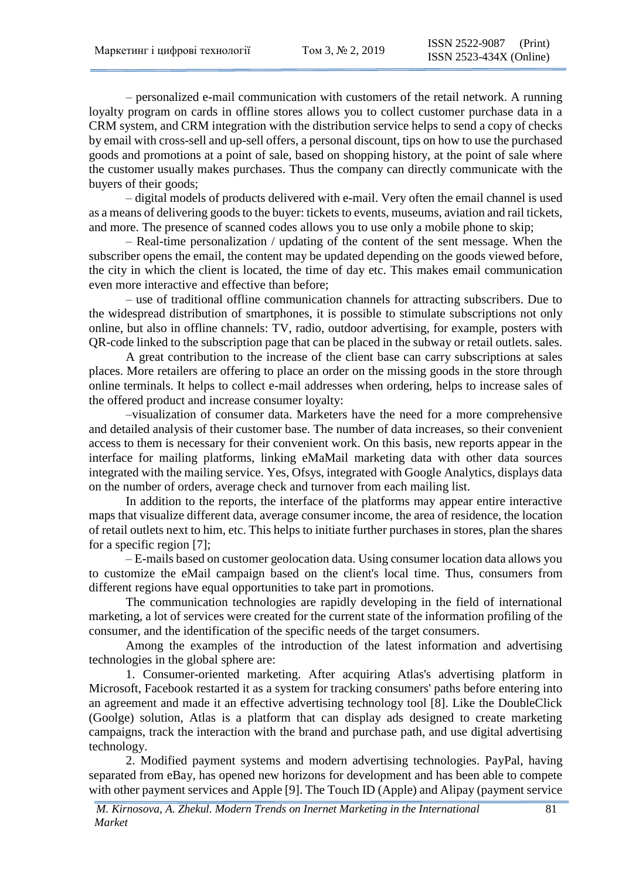– personalized e-mail communication with customers of the retail network. A running loyalty program on cards in offline stores allows you to collect customer purchase data in a CRM system, and CRM integration with the distribution service helps to send a copy of checks by email with cross-sell and up-sell offers, a personal discount, tips on how to use the purchased goods and promotions at a point of sale, based on shopping history, at the point of sale where the customer usually makes purchases. Thus the company can directly communicate with the buyers of their goods;

– digital models of products delivered with e-mail. Very often the email channel is used as a means of delivering goods to the buyer: tickets to events, museums, aviation and rail tickets, and more. The presence of scanned codes allows you to use only a mobile phone to skip;

– Real-time personalization / updating of the content of the sent message. When the subscriber opens the email, the content may be updated depending on the goods viewed before, the city in which the client is located, the time of day etc. This makes email communication even more interactive and effective than before;

– use of traditional offline communication channels for attracting subscribers. Due to the widespread distribution of smartphones, it is possible to stimulate subscriptions not only online, but also in offline channels: TV, radio, outdoor advertising, for example, posters with QR-code linked to the subscription page that can be placed in the subway or retail outlets. sales.

A great contribution to the increase of the client base can carry subscriptions at sales places. More retailers are offering to place an order on the missing goods in the store through online terminals. It helps to collect e-mail addresses when ordering, helps to increase sales of the offered product and increase consumer loyalty:

–visualization of consumer data. Marketers have the need for a more comprehensive and detailed analysis of their customer base. The number of data increases, so their convenient access to them is necessary for their convenient work. On this basis, new reports appear in the interface for mailing platforms, linking eMaMail marketing data with other data sources integrated with the mailing service. Yes, Ofsys, integrated with Google Analytics, displays data on the number of orders, average check and turnover from each mailing list.

In addition to the reports, the interface of the platforms may appear entire interactive maps that visualize different data, average consumer income, the area of residence, the location of retail outlets next to him, etc. This helps to initiate further purchases in stores, plan the shares for a specific region [7];

– E-mails based on customer geolocation data. Using consumer location data allows you to customize the eMail campaign based on the client's local time. Thus, consumers from different regions have equal opportunities to take part in promotions.

The communication technologies are rapidly developing in the field of international marketing, a lot of services were created for the current state of the information profiling of the consumer, and the identification of the specific needs of the target consumers.

Among the examples of the introduction of the latest information and advertising technologies in the global sphere are:

1. Consumer-oriented marketing. After acquiring Atlas's advertising platform in Microsoft, Facebook restarted it as a system for tracking consumers' paths before entering into an agreement and made it an effective advertising technology tool [8]. Like the DoubleClick (Goolge) solution, Atlas is a platform that can display ads designed to create marketing campaigns, track the interaction with the brand and purchase path, and use digital advertising technology.

2. Modified payment systems and modern advertising technologies. PayPal, having separated from eBay, has opened new horizons for development and has been able to compete with other payment services and Apple [9]. The Touch ID (Apple) and Alipay (payment service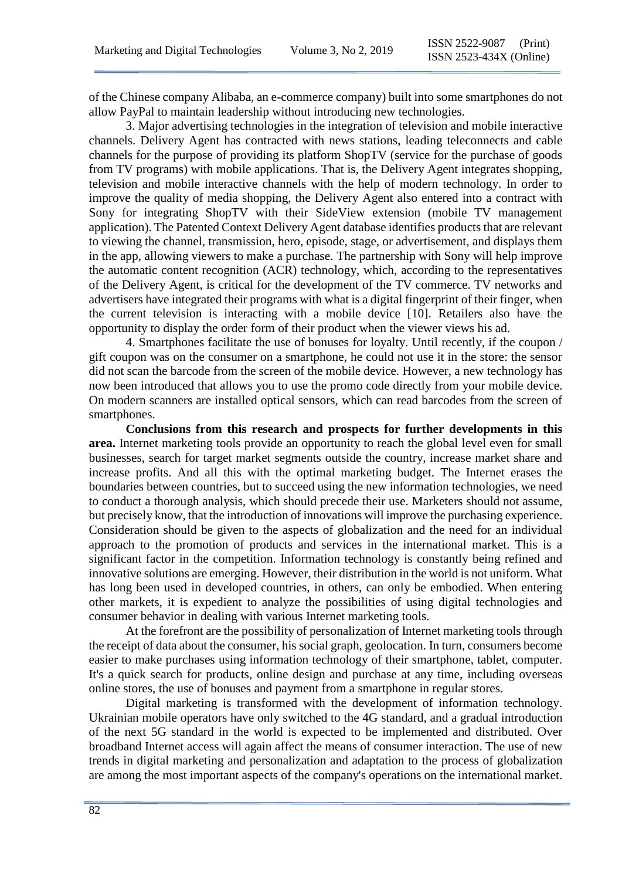of the Chinese company Alibaba, an e-commerce company) built into some smartphones do not allow PayPal to maintain leadership without introducing new technologies.

3. Major advertising technologies in the integration of television and mobile interactive channels. Delivery Agent has contracted with news stations, leading teleconnects and cable channels for the purpose of providing its platform ShopTV (service for the purchase of goods from TV programs) with mobile applications. That is, the Delivery Agent integrates shopping, television and mobile interactive channels with the help of modern technology. In order to improve the quality of media shopping, the Delivery Agent also entered into a contract with Sony for integrating ShopTV with their SideView extension (mobile TV management application). The Patented Context Delivery Agent database identifies products that are relevant to viewing the channel, transmission, hero, episode, stage, or advertisement, and displays them in the app, allowing viewers to make a purchase. The partnership with Sony will help improve the automatic content recognition (ACR) technology, which, according to the representatives of the Delivery Agent, is critical for the development of the TV commerce. TV networks and advertisers have integrated their programs with what is a digital fingerprint of their finger, when the current television is interacting with a mobile device [10]. Retailers also have the opportunity to display the order form of their product when the viewer views his ad.

4. Smartphones facilitate the use of bonuses for loyalty. Until recently, if the coupon / gift coupon was on the consumer on a smartphone, he could not use it in the store: the sensor did not scan the barcode from the screen of the mobile device. However, a new technology has now been introduced that allows you to use the promo code directly from your mobile device. On modern scanners are installed optical sensors, which can read barcodes from the screen of smartphones.

**Conclusions from this research and prospects for further developments in this area.** Internet marketing tools provide an opportunity to reach the global level even for small businesses, search for target market segments outside the country, increase market share and increase profits. And all this with the optimal marketing budget. The Internet erases the boundaries between countries, but to succeed using the new information technologies, we need to conduct a thorough analysis, which should precede their use. Marketers should not assume, but precisely know, that the introduction of innovations will improve the purchasing experience. Consideration should be given to the aspects of globalization and the need for an individual approach to the promotion of products and services in the international market. This is a significant factor in the competition. Information technology is constantly being refined and innovative solutions are emerging. However, their distribution in the world is not uniform. What has long been used in developed countries, in others, can only be embodied. When entering other markets, it is expedient to analyze the possibilities of using digital technologies and consumer behavior in dealing with various Internet marketing tools.

At the forefront are the possibility of personalization of Internet marketing tools through the receipt of data about the consumer, his social graph, geolocation. In turn, consumers become easier to make purchases using information technology of their smartphone, tablet, computer. It's a quick search for products, online design and purchase at any time, including overseas online stores, the use of bonuses and payment from a smartphone in regular stores.

Digital marketing is transformed with the development of information technology. Ukrainian mobile operators have only switched to the 4G standard, and a gradual introduction of the next 5G standard in the world is expected to be implemented and distributed. Over broadband Internet access will again affect the means of consumer interaction. The use of new trends in digital marketing and personalization and adaptation to the process of globalization are among the most important aspects of the company's operations on the international market.